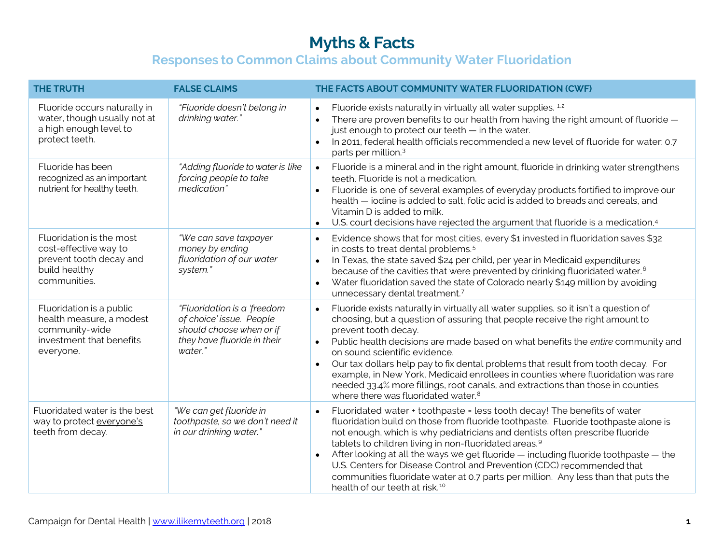| <b>THE TRUTH</b>                                                                                                | <b>FALSE CLAIMS</b>                                                                                                           | THE FACTS ABOUT COMMUNITY WATER FLUORIDATION (CWF)                                                                                                                                                                                                                                                                                                                                                                                                                                                                                                                                                                                                                      |
|-----------------------------------------------------------------------------------------------------------------|-------------------------------------------------------------------------------------------------------------------------------|-------------------------------------------------------------------------------------------------------------------------------------------------------------------------------------------------------------------------------------------------------------------------------------------------------------------------------------------------------------------------------------------------------------------------------------------------------------------------------------------------------------------------------------------------------------------------------------------------------------------------------------------------------------------------|
| Fluoride occurs naturally in<br>water, though usually not at<br>a high enough level to<br>protect teeth.        | "Fluoride doesn't belong in<br>drinking water."                                                                               | Fluoride exists naturally in virtually all water supplies. <sup>1,2</sup><br>$\bullet$<br>There are proven benefits to our health from having the right amount of fluoride -<br>$\bullet$<br>just enough to protect our teeth - in the water.<br>In 2011, federal health officials recommended a new level of fluoride for water: 0.7<br>$\bullet$<br>parts per million. <sup>3</sup>                                                                                                                                                                                                                                                                                   |
| Fluoride has been<br>recognized as an important<br>nutrient for healthy teeth.                                  | "Adding fluoride to water is like<br>forcing people to take<br>medication"                                                    | Fluoride is a mineral and in the right amount, fluoride in drinking water strengthens<br>$\bullet$<br>teeth. Fluoride is not a medication.<br>Fluoride is one of several examples of everyday products fortified to improve our<br>health - jodine is added to salt, folic acid is added to breads and cereals, and<br>Vitamin D is added to milk.<br>U.S. court decisions have rejected the argument that fluoride is a medication. <sup>4</sup><br>$\bullet$                                                                                                                                                                                                          |
| Fluoridation is the most<br>cost-effective way to<br>prevent tooth decay and<br>build healthy<br>communities.   | "We can save taxpayer<br>money by ending<br>fluoridation of our water<br>system."                                             | Evidence shows that for most cities, every \$1 invested in fluoridation saves \$32<br>$\bullet$<br>in costs to treat dental problems. <sup>5</sup><br>In Texas, the state saved \$24 per child, per year in Medicaid expenditures<br>$\bullet$<br>because of the cavities that were prevented by drinking fluoridated water. <sup>6</sup><br>Water fluoridation saved the state of Colorado nearly \$149 million by avoiding<br>unnecessary dental treatment.7                                                                                                                                                                                                          |
| Fluoridation is a public<br>health measure, a modest<br>community-wide<br>investment that benefits<br>everyone. | "Fluoridation is a 'freedom<br>of choice' issue. People<br>should choose when or if<br>they have fluoride in their<br>water." | Fluoride exists naturally in virtually all water supplies, so it isn't a question of<br>$\bullet$<br>choosing, but a question of assuring that people receive the right amount to<br>prevent tooth decay.<br>Public health decisions are made based on what benefits the entire community and<br>$\bullet$<br>on sound scientific evidence.<br>Our tax dollars help pay to fix dental problems that result from tooth decay. For<br>$\bullet$<br>example, in New York, Medicaid enrollees in counties where fluoridation was rare<br>needed 33.4% more fillings, root canals, and extractions than those in counties<br>where there was fluoridated water. <sup>8</sup> |
| Fluoridated water is the best<br>way to protect everyone's<br>teeth from decay.                                 | "We can get fluoride in<br>toothpaste, so we don't need it<br>in our drinking water."                                         | Fluoridated water + toothpaste = less tooth decay! The benefits of water<br>$\bullet$<br>fluoridation build on those from fluoride toothpaste. Fluoride toothpaste alone is<br>not enough, which is why pediatricians and dentists often prescribe fluoride<br>tablets to children living in non-fluoridated areas. <sup>9</sup><br>After looking at all the ways we get fluoride - including fluoride toothpaste - the<br>U.S. Centers for Disease Control and Prevention (CDC) recommended that<br>communities fluoridate water at 0.7 parts per million. Any less than that puts the<br>health of our teeth at risk. <sup>10</sup>                                   |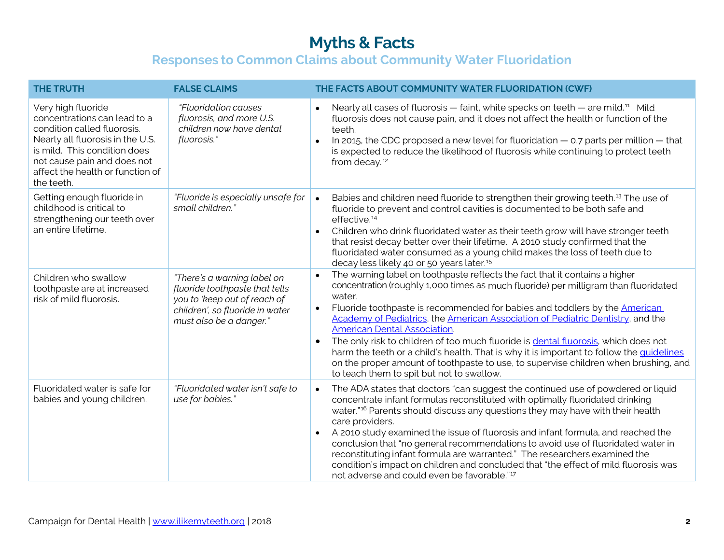| <b>THE TRUTH</b>                                                                                                                                                                                                                       | <b>FALSE CLAIMS</b>                                                                                                                                         | THE FACTS ABOUT COMMUNITY WATER FLUORIDATION (CWF)                                                                                                                                                                                                                                                                                                                                                                                                                                                                                                                                                                                                                                                                                   |
|----------------------------------------------------------------------------------------------------------------------------------------------------------------------------------------------------------------------------------------|-------------------------------------------------------------------------------------------------------------------------------------------------------------|--------------------------------------------------------------------------------------------------------------------------------------------------------------------------------------------------------------------------------------------------------------------------------------------------------------------------------------------------------------------------------------------------------------------------------------------------------------------------------------------------------------------------------------------------------------------------------------------------------------------------------------------------------------------------------------------------------------------------------------|
| Very high fluoride<br>concentrations can lead to a<br>condition called fluorosis.<br>Nearly all fluorosis in the U.S.<br>is mild. This condition does<br>not cause pain and does not<br>affect the health or function of<br>the teeth. | <i>"Fluoridation causes</i><br>fluorosis, and more U.S.<br>children now have dental<br>fluorosis."                                                          | Nearly all cases of fluorosis - faint, white specks on teeth - are mild. <sup>11</sup> Mild<br>$\bullet$<br>fluorosis does not cause pain, and it does not affect the health or function of the<br>teeth.<br>In 2015, the CDC proposed a new level for fluoridation $-$ 0.7 parts per million $-$ that<br>$\bullet$<br>is expected to reduce the likelihood of fluorosis while continuing to protect teeth<br>from decay. <sup>12</sup>                                                                                                                                                                                                                                                                                              |
| Getting enough fluoride in<br>childhood is critical to<br>strengthening our teeth over<br>an entire lifetime.                                                                                                                          | "Fluoride is especially unsafe for<br>small children."                                                                                                      | Babies and children need fluoride to strengthen their growing teeth. <sup>13</sup> The use of<br>$\bullet$<br>fluoride to prevent and control cavities is documented to be both safe and<br>effective. <sup>14</sup><br>Children who drink fluoridated water as their teeth grow will have stronger teeth<br>$\bullet$<br>that resist decay better over their lifetime. A 2010 study confirmed that the<br>fluoridated water consumed as a young child makes the loss of teeth due to<br>decay less likely 40 or 50 years later. <sup>15</sup>                                                                                                                                                                                       |
| Children who swallow<br>toothpaste are at increased<br>risk of mild fluorosis.                                                                                                                                                         | "There's a warning label on<br>fluoride toothpaste that tells<br>you to 'keep out of reach of<br>children', so fluoride in water<br>must also be a danger." | The warning label on toothpaste reflects the fact that it contains a higher<br>concentration (roughly 1,000 times as much fluoride) per milligram than fluoridated<br>water.<br>Fluoride toothpaste is recommended for babies and toddlers by the American<br>$\bullet$<br>Academy of Pediatrics, the American Association of Pediatric Dentistry, and the<br><b>American Dental Association.</b><br>The only risk to children of too much fluoride is dental fluorosis, which does not<br>$\bullet$<br>harm the teeth or a child's health. That is why it is important to follow the quidelines<br>on the proper amount of toothpaste to use, to supervise children when brushing, and<br>to teach them to spit but not to swallow. |
| Fluoridated water is safe for<br>babies and young children.                                                                                                                                                                            | "Fluoridated water isn't safe to<br>use for babies."                                                                                                        | The ADA states that doctors "can suggest the continued use of powdered or liquid<br>$\bullet$<br>concentrate infant formulas reconstituted with optimally fluoridated drinking<br>water." <sup>16</sup> Parents should discuss any questions they may have with their health<br>care providers.<br>A 2010 study examined the issue of fluorosis and infant formula, and reached the<br>$\bullet$<br>conclusion that "no general recommendations to avoid use of fluoridated water in<br>reconstituting infant formula are warranted." The researchers examined the<br>condition's impact on children and concluded that "the effect of mild fluorosis was<br>not adverse and could even be favorable." <sup>17</sup>                 |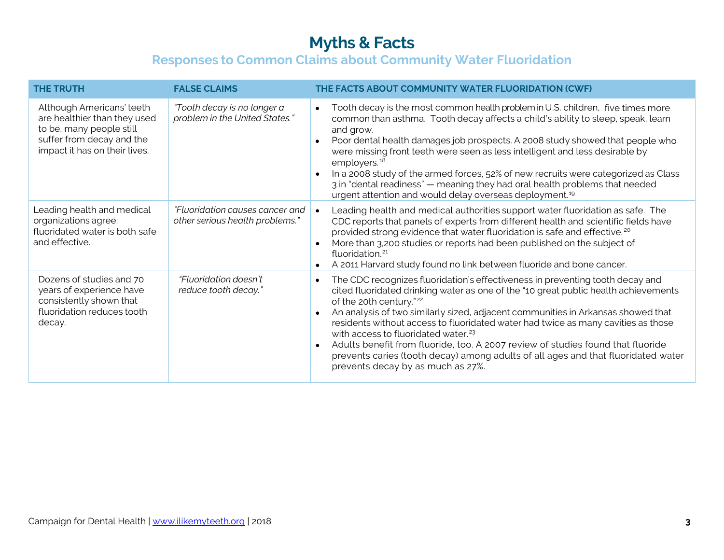| <b>THE TRUTH</b>                                                                                                                                    | <b>FALSE CLAIMS</b>                                                | THE FACTS ABOUT COMMUNITY WATER FLUORIDATION (CWF)                                                                                                                                                                                                                                                                                                                                                                                                                                                                                                                                                                                                                |
|-----------------------------------------------------------------------------------------------------------------------------------------------------|--------------------------------------------------------------------|-------------------------------------------------------------------------------------------------------------------------------------------------------------------------------------------------------------------------------------------------------------------------------------------------------------------------------------------------------------------------------------------------------------------------------------------------------------------------------------------------------------------------------------------------------------------------------------------------------------------------------------------------------------------|
| Although Americans' teeth<br>are healthier than they used<br>to be, many people still<br>suffer from decay and the<br>impact it has on their lives. | "Tooth decay is no longer a<br>problem in the United States."      | Tooth decay is the most common health problem in U.S. children, five times more<br>$\bullet$<br>common than asthma. Tooth decay affects a child's ability to sleep, speak, learn<br>and grow.<br>Poor dental health damages job prospects. A 2008 study showed that people who<br>$\bullet$<br>were missing front teeth were seen as less intelligent and less desirable by<br>employers. <sup>18</sup><br>In a 2008 study of the armed forces, 52% of new recruits were categorized as Class<br>$\bullet$<br>3 in "dental readiness" - meaning they had oral health problems that needed<br>urgent attention and would delay overseas deployment. <sup>19</sup>  |
| Leading health and medical<br>organizations agree:<br>fluoridated water is both safe<br>and effective.                                              | "Fluoridation causes cancer and<br>other serious health problems." | Leading health and medical authorities support water fluoridation as safe. The<br>CDC reports that panels of experts from different health and scientific fields have<br>provided strong evidence that water fluoridation is safe and effective. <sup>20</sup><br>More than 3,200 studies or reports had been published on the subject of<br>$\bullet$<br>fluoridation. <sup>21</sup><br>A 2011 Harvard study found no link between fluoride and bone cancer.<br>$\bullet$                                                                                                                                                                                        |
| Dozens of studies and 70<br>years of experience have<br>consistently shown that<br>fluoridation reduces tooth<br>decay.                             | "Fluoridation doesn't<br>reduce tooth decay."                      | The CDC recognizes fluoridation's effectiveness in preventing tooth decay and<br>$\bullet$<br>cited fluoridated drinking water as one of the "10 great public health achievements<br>of the 20th century." <sup>22</sup><br>An analysis of two similarly sized, adjacent communities in Arkansas showed that<br>residents without access to fluoridated water had twice as many cavities as those<br>with access to fluoridated water. <sup>23</sup><br>Adults benefit from fluoride, too. A 2007 review of studies found that fluoride<br>prevents caries (tooth decay) among adults of all ages and that fluoridated water<br>prevents decay by as much as 27%. |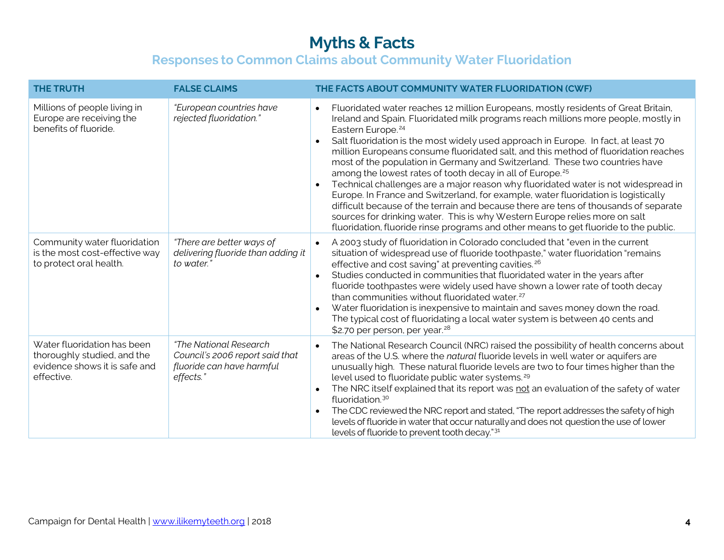| <b>THE TRUTH</b>                                                                                          | <b>FALSE CLAIMS</b>                                                                                 | THE FACTS ABOUT COMMUNITY WATER FLUORIDATION (CWF)                                                                                                                                                                                                                                                                                                                                                                                                                                                                                                                                                                                                                                                                                                                                                                                                                                                                                                                                                    |
|-----------------------------------------------------------------------------------------------------------|-----------------------------------------------------------------------------------------------------|-------------------------------------------------------------------------------------------------------------------------------------------------------------------------------------------------------------------------------------------------------------------------------------------------------------------------------------------------------------------------------------------------------------------------------------------------------------------------------------------------------------------------------------------------------------------------------------------------------------------------------------------------------------------------------------------------------------------------------------------------------------------------------------------------------------------------------------------------------------------------------------------------------------------------------------------------------------------------------------------------------|
| Millions of people living in<br>Europe are receiving the<br>benefits of fluoride.                         | "European countries have<br>rejected fluoridation."                                                 | Fluoridated water reaches 12 million Europeans, mostly residents of Great Britain,<br>Ireland and Spain. Fluoridated milk programs reach millions more people, mostly in<br>Eastern Europe. <sup>24</sup><br>Salt fluoridation is the most widely used approach in Europe. In fact, at least 70<br>$\bullet$<br>million Europeans consume fluoridated salt, and this method of fluoridation reaches<br>most of the population in Germany and Switzerland. These two countries have<br>among the lowest rates of tooth decay in all of Europe. <sup>25</sup><br>Technical challenges are a major reason why fluoridated water is not widespread in<br>Europe. In France and Switzerland, for example, water fluoridation is logistically<br>difficult because of the terrain and because there are tens of thousands of separate<br>sources for drinking water. This is why Western Europe relies more on salt<br>fluoridation, fluoride rinse programs and other means to get fluoride to the public. |
| Community water fluoridation<br>is the most cost-effective way<br>to protect oral health.                 | "There are better ways of<br>delivering fluoride than adding it<br>to water."                       | A 2003 study of fluoridation in Colorado concluded that "even in the current<br>situation of widespread use of fluoride toothpaste," water fluoridation "remains<br>effective and cost saving" at preventing cavities. <sup>26</sup><br>Studies conducted in communities that fluoridated water in the years after<br>fluoride toothpastes were widely used have shown a lower rate of tooth decay<br>than communities without fluoridated water. <sup>27</sup><br>Water fluoridation is inexpensive to maintain and saves money down the road.<br>The typical cost of fluoridating a local water system is between 40 cents and<br>\$2.70 per person, per year. <sup>28</sup>                                                                                                                                                                                                                                                                                                                        |
| Water fluoridation has been<br>thoroughly studied, and the<br>evidence shows it is safe and<br>effective. | "The National Research<br>Council's 2006 report said that<br>fluoride can have harmful<br>effects." | The National Research Council (NRC) raised the possibility of health concerns about<br>$\bullet$<br>areas of the U.S. where the natural fluoride levels in well water or aquifers are<br>unusually high. These natural fluoride levels are two to four times higher than the<br>level used to fluoridate public water systems. <sup>29</sup><br>The NRC itself explained that its report was not an evaluation of the safety of water<br>$\bullet$<br>fluoridation. <sup>30</sup><br>The CDC reviewed the NRC report and stated, "The report addresses the safety of high<br>$\bullet$<br>levels of fluoride in water that occur naturally and does not question the use of lower<br>levels of fluoride to prevent tooth decay."31                                                                                                                                                                                                                                                                    |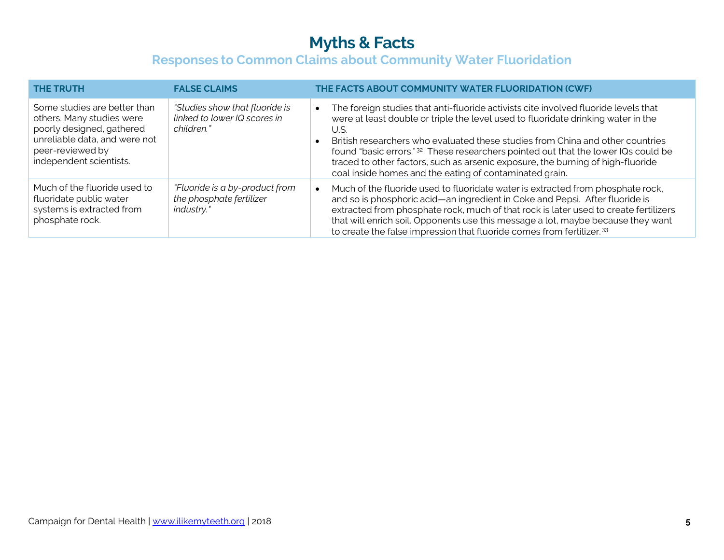| <b>THE TRUTH</b>                                                                                                                                                       | <b>FALSE CLAIMS</b>                                                          | THE FACTS ABOUT COMMUNITY WATER FLUORIDATION (CWF)                                                                                                                                                                                                                                                                                                                                                                                                                                                                |
|------------------------------------------------------------------------------------------------------------------------------------------------------------------------|------------------------------------------------------------------------------|-------------------------------------------------------------------------------------------------------------------------------------------------------------------------------------------------------------------------------------------------------------------------------------------------------------------------------------------------------------------------------------------------------------------------------------------------------------------------------------------------------------------|
| Some studies are better than<br>others. Many studies were<br>poorly designed, gathered<br>unreliable data, and were not<br>peer-reviewed by<br>independent scientists. | "Studies show that fluoride is<br>linked to lower IQ scores in<br>children." | The foreign studies that anti-fluoride activists cite involved fluoride levels that<br>were at least double or triple the level used to fluoridate drinking water in the<br>U.S.<br>British researchers who evaluated these studies from China and other countries<br>found "basic errors." <sup>32</sup> These researchers pointed out that the lower IQs could be<br>traced to other factors, such as arsenic exposure, the burning of high-fluoride<br>coal inside homes and the eating of contaminated grain. |
| Much of the fluoride used to<br>fluoridate public water<br>systems is extracted from<br>phosphate rock.                                                                | "Fluoride is a by-product from<br>the phosphate fertilizer<br>industry."     | Much of the fluoride used to fluoridate water is extracted from phosphate rock,<br>and so is phosphoric acid—an ingredient in Coke and Pepsi. After fluoride is<br>extracted from phosphate rock, much of that rock is later used to create fertilizers<br>that will enrich soil. Opponents use this message a lot, maybe because they want<br>to create the false impression that fluoride comes from fertilizer. <sup>33</sup>                                                                                  |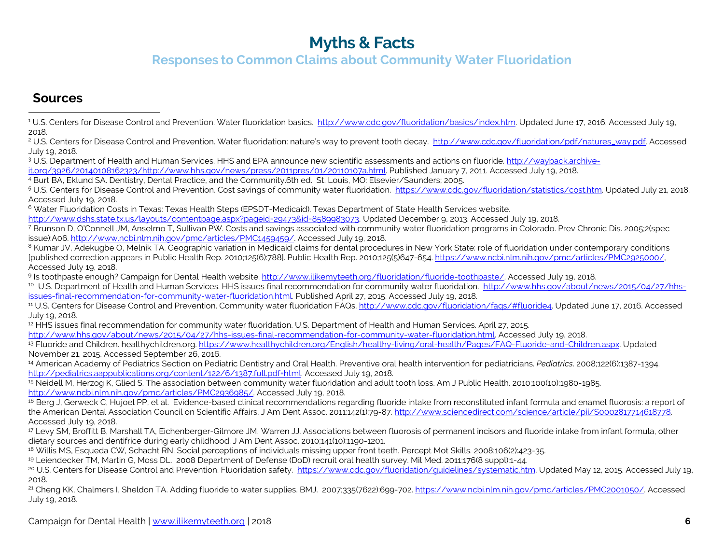### <span id="page-5-20"></span><span id="page-5-19"></span><span id="page-5-18"></span><span id="page-5-17"></span><span id="page-5-16"></span><span id="page-5-15"></span><span id="page-5-14"></span><span id="page-5-13"></span><span id="page-5-12"></span><span id="page-5-11"></span><span id="page-5-10"></span><span id="page-5-9"></span><span id="page-5-8"></span><span id="page-5-7"></span><span id="page-5-6"></span><span id="page-5-5"></span><span id="page-5-4"></span><span id="page-5-3"></span><span id="page-5-2"></span><span id="page-5-1"></span><span id="page-5-0"></span>**Responses to Common Claims about Community Water Fluoridation**

#### **Sources**

<sup>2</sup> U.S. Centers for Disease Control and Prevention. Water fluoridation: nature's way to prevent tooth decay. [http://www.cdc.gov/fluoridation/pdf/natures\\_way.pdf.](http://www.cdc.gov/fluoridation/pdf/natures_way.pdf) Accessed July 19, 2018.

<sup>3</sup> U.S. Department of Health and Human Services. HHS and EPA announce new scientific assessments and actions on fluoride. [http://wayback.archive-](http://wayback.archive-it.org/3926/20140108162323/http:/www.hhs.gov/news/press/2011pres/01/20110107a.html)

[it.org/3926/20140108162323/http://www.hhs.gov/news/press/2011pres/01/20110107a.html.](http://wayback.archive-it.org/3926/20140108162323/http:/www.hhs.gov/news/press/2011pres/01/20110107a.html) Published January 7, 2011. Accessed July 19, 2018.

4 Burt BA, Eklund SA. Dentistry, Dental Practice, and the Community.6th ed. St. Louis, MO: Elsevier/Saunders; 2005.<br>5 U.S. Centers for Disease Control and Prevention. Cost savings of community water fluoridation. https://w Accessed July 19, 2018.

<sup>6</sup> Water Fluoridation Costs in Texas: Texas Health Steps (EPSDT-Medicaid). Texas Department of State Health Services website.

[http://www.dshs.state.tx.us/layouts/contentpage.aspx?pageid=29473&id=8589983073,](http://www.dshs.state.tx.us/layouts/contentpage.aspx?pageid=29473&id=8589983073) Updated December 9, 2013. Accessed July 19, 2018.

<sup>7</sup> Brunson D, O'Connell JM, Anselmo T, Sullivan PW. Costs and savings associated with community water fluoridation programs in Colorado. Prev Chronic Dis. 2005;2(spec issue):A06. [http://www.ncbi.nlm.nih.gov/pmc/articles/PMC1459459/.](http://www.ncbi.nlm.nih.gov/pmc/articles/PMC1459459/) Accessed July 19, 2018.

<sup>8</sup> Kumar JV, Adekugbe O, Melnik TA. Geographic variation in Medicaid claims for dental procedures in New York State: role of fluoridation under contemporary conditions [published correction appears in Public Health Rep. 2010;125(6):788]. Public Health Rep. 2010;125(5)647-654. [https://www.ncbi.nlm.nih.gov/pmc/articles/PMC2925000/,](https://www.ncbi.nlm.nih.gov/pmc/articles/PMC2925000/)  Accessed July 19, 2018.

<sup>9</sup> Is toothpaste enough? Campaign for Dental Health website[. http://www.ilikemyteeth.org/fluoridation/fluoride-toothpaste/.](http://www.ilikemyteeth.org/fluoridation/fluoride-toothpaste/) Accessed July 19, 2018.

10 U.S. Department of Health and Human Services. HHS issues final recommendation for community water fluoridation. [http://www.hhs.gov/about/news/2015/04/27/hhs](http://www.hhs.gov/about/news/2015/04/27/hhs-issues-final-recommendation-for-community-water-fluoridation.html)[issues-final-recommendation-for-community-water-fluoridation.html.](http://www.hhs.gov/about/news/2015/04/27/hhs-issues-final-recommendation-for-community-water-fluoridation.html) Published April 27, 2015. Accessed July 19, 2018.

<sup>11</sup> U.S. Centers for Disease Control and Prevention. Community water fluoridation FAQs. [http://www.cdc.gov/fluoridation/faqs/#fluoride4.](http://www.cdc.gov/fluoridation/faqs/#fluoride4) Updated June 17, 2016. Accessed July 19, 2018.

<sup>12</sup> HHS issues final recommendation for community water fluoridation. U.S. Department of Health and Human Services. April 27, 2015.

[http://www.hhs.gov/about/news/2015/04/27/hhs-issues-final-recommendation-for-community-water-fluoridation.html.](http://www.hhs.gov/about/news/2015/04/27/hhs-issues-final-recommendation-for-community-water-fluoridation.html) Accessed July 19, 2018.

13 Fluoride and Children. healthychildren.org[. https://www.healthychildren.org/English/healthy-living/oral-health/Pages/FAQ-Fluoride-and-Children.aspx.](https://www.healthychildren.org/English/healthy-living/oral-health/Pages/FAQ-Fluoride-and-Children.aspx) Updated November 21, 2015. Accessed September 26, 2016.

<sup>14</sup> American Academy of Pediatrics Section on Pediatric Dentistry and Oral Health. Preventive oral health intervention for pediatricians. *Pediatrics*. 2008;122(6):1387-1394. [http://pediatrics.aappublications.org/content/122/6/1387.full.pdf+html.](http://pediatrics.aappublications.org/content/122/6/1387.full.pdf+html) Accessed July 19, 2018.

<sup>15</sup> Neidell M, Herzog K, Glied S. The association between community water fluoridation and adult tooth loss. Am J Public Health. 2010;100(10):1980-1985. [http://www.ncbi.nlm.nih.gov/pmc/articles/PMC2936985/.](http://www.ncbi.nlm.nih.gov/pmc/articles/PMC2936985/) Accessed July 19, 2018.<br><sup>16</sup> Berg J, Gerweck C, Hujoel PP, et al. Evidence-based clinical recommendations regarding fluoride intake from reconstituted infant formula an

the American Dental Association Council on Scientific Affairs. J Am Dent Assoc. 2011:142(1):79-87. [http://www.sciencedirect.com/science/article/pii/S0002817714618778.](http://www.sciencedirect.com/science/article/pii/S0002817714618778)  Accessed July 19, 2018.

<sup>17</sup> Levy SM, Broffitt B, Marshall TA, Eichenberger-Gilmore JM, Warren JJ. Associations between fluorosis of permanent incisors and fluoride intake from infant formula, other dietary sources and dentifrice during early childhood. J Am Dent Assoc. 2010;141(10):1190-1201.

<sup>18</sup> Willis MS, Esqueda CW, Schacht RN. Social perceptions of individuals missing upper front teeth. Percept Mot Skills. 2008;106(2):423-35.

<sup>19</sup> Leiendecker TM, Martin G, Moss DL. 2008 Department of Defense (DoD) recruit oral health survey. Mil Med. 2011;176(8 suppl):1-44.

<sup>20</sup> U.S. Centers for Disease Control and Prevention. Fluoridation safety. [https://www.cdc.gov/fluoridation/guidelines/systematic.htm.](https://www.cdc.gov/fluoridation/guidelines/systematic.htm) Updated May 12, 2015. Accessed July 19, 2018.

<sup>21</sup> Cheng KK, Chalmers I, Sheldon TA. Adding fluoride to water supplies. BMJ. 2007;335(7622):699-702[. https://www.ncbi.nlm.nih.gov/pmc/articles/PMC2001050/.](https://www.ncbi.nlm.nih.gov/pmc/articles/PMC2001050/) Accessed July 19, 2018.

<sup>&</sup>lt;sup>1</sup> U.S. Centers for Disease Control and Prevention. Water fluoridation basics. [http://www.cdc.gov/fluoridation/basics/index.htm.](http://www.cdc.gov/fluoridation/basics/index.htm) Updated June 17, 2016. Accessed July 19, 2018. <u>.</u>